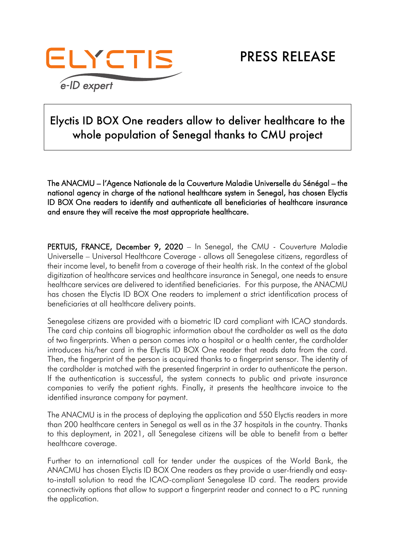

## Elyctis ID BOX One readers allow to deliver healthcare to the whole population of Senegal thanks to CMU project

The ANACMU – l'Agence Nationale de la Couverture Maladie Universelle du Sénégal – the national agency in charge of the national healthcare system in Senegal, has chosen Elyctis ID BOX One readers to identify and authenticate all beneficiaries of healthcare insurance and ensure they will receive the most appropriate healthcare.

PERTUIS, FRANCE, December 9, 2020 – In Senegal, the CMU - Couverture Maladie Universelle – Universal Healthcare Coverage - allows all Senegalese citizens, regardless of their income level, to benefit from a coverage of their health risk. In the context of the global digitization of healthcare services and healthcare insurance in Senegal, one needs to ensure healthcare services are delivered to identified beneficiaries. For this purpose, the ANACMU has chosen the Elyctis ID BOX One readers to implement a strict identification process of beneficiaries at all healthcare delivery points.

Senegalese citizens are provided with a biometric ID card compliant with ICAO standards. The card chip contains all biographic information about the cardholder as well as the data of two fingerprints. When a person comes into a hospital or a health center, the cardholder introduces his/her card in the Elyctis ID BOX One reader that reads data from the card. Then, the fingerprint of the person is acquired thanks to a fingerprint sensor. The identity of the cardholder is matched with the presented fingerprint in order to authenticate the person. If the authentication is successful, the system connects to public and private insurance companies to verify the patient rights. Finally, it presents the healthcare invoice to the identified insurance company for payment.

The ANACMU is in the process of deploying the application and 550 Elyctis readers in more than 200 healthcare centers in Senegal as well as in the 37 hospitals in the country. Thanks to this deployment, in 2021, all Senegalese citizens will be able to benefit from a better healthcare coverage.

Further to an international call for tender under the auspices of the World Bank, the ANACMU has chosen Elyctis ID BOX One readers as they provide a user-friendly and easyto-install solution to read the ICAO-compliant Senegalese ID card. The readers provide connectivity options that allow to support a fingerprint reader and connect to a PC running the application.